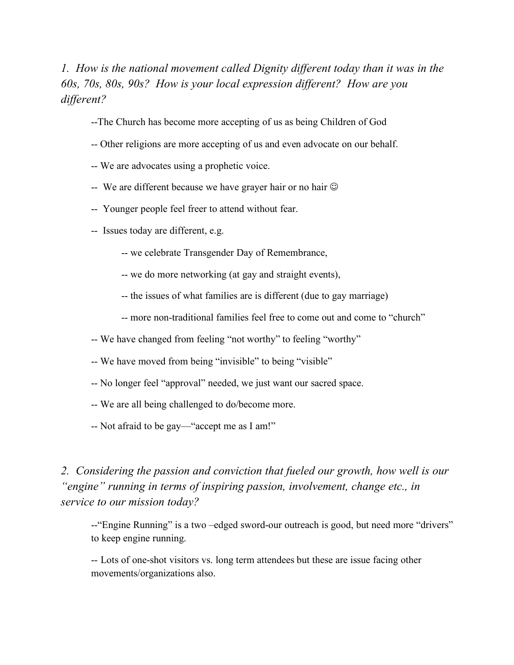*1. How is the national movement called Dignity different today than it was in the 60s, 70s, 80s, 90s? How is your local expression different? How are you different?*

- --The Church has become more accepting of us as being Children of God
- -- Other religions are more accepting of us and even advocate on our behalf.
- -- We are advocates using a prophetic voice.
- -- We are different because we have grayer hair or no hair  $\odot$
- -- Younger people feel freer to attend without fear.
- -- Issues today are different, e.g.
	- -- we celebrate Transgender Day of Remembrance,
	- -- we do more networking (at gay and straight events),
	- -- the issues of what families are is different (due to gay marriage)
	- -- more non-traditional families feel free to come out and come to "church"
- -- We have changed from feeling "not worthy" to feeling "worthy"
- -- We have moved from being "invisible" to being "visible"
- -- No longer feel "approval" needed, we just want our sacred space.
- -- We are all being challenged to do/become more.
- -- Not afraid to be gay—"accept me as I am!"

*2. Considering the passion and conviction that fueled our growth, how well is our "engine" running in terms of inspiring passion, involvement, change etc., in service to our mission today?*

--"Engine Running" is a two –edged sword-our outreach is good, but need more "drivers" to keep engine running.

-- Lots of one-shot visitors vs. long term attendees but these are issue facing other movements/organizations also.